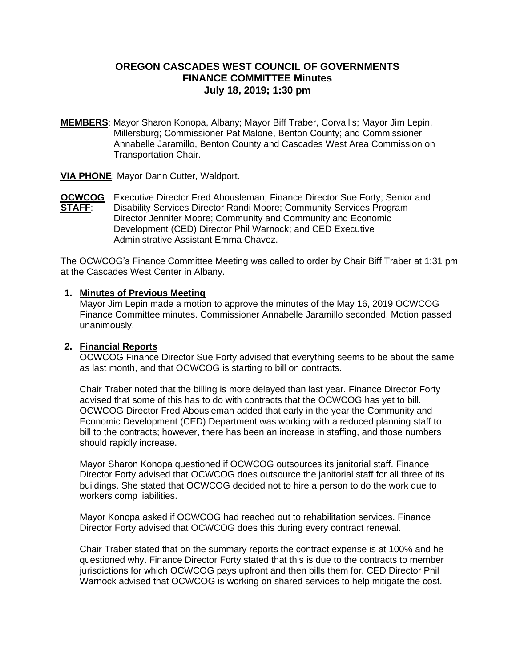## **OREGON CASCADES WEST COUNCIL OF GOVERNMENTS FINANCE COMMITTEE Minutes July 18, 2019; 1:30 pm**

**MEMBERS**: Mayor Sharon Konopa, Albany; Mayor Biff Traber, Corvallis; Mayor Jim Lepin, Millersburg; Commissioner Pat Malone, Benton County; and Commissioner Annabelle Jaramillo, Benton County and Cascades West Area Commission on Transportation Chair.

**VIA PHONE**: Mayor Dann Cutter, Waldport.

**OCWCOG** Executive Director Fred Abousleman; Finance Director Sue Forty; Senior and **STAFF:** Disability Services Director Randi Moore; Community Services Program Director Jennifer Moore; Community and Community and Economic Development (CED) Director Phil Warnock; and CED Executive Administrative Assistant Emma Chavez.

The OCWCOG's Finance Committee Meeting was called to order by Chair Biff Traber at 1:31 pm at the Cascades West Center in Albany.

#### **1. Minutes of Previous Meeting**

Mayor Jim Lepin made a motion to approve the minutes of the May 16, 2019 OCWCOG Finance Committee minutes. Commissioner Annabelle Jaramillo seconded. Motion passed unanimously.

#### **2. Financial Reports**

OCWCOG Finance Director Sue Forty advised that everything seems to be about the same as last month, and that OCWCOG is starting to bill on contracts.

Chair Traber noted that the billing is more delayed than last year. Finance Director Forty advised that some of this has to do with contracts that the OCWCOG has yet to bill. OCWCOG Director Fred Abousleman added that early in the year the Community and Economic Development (CED) Department was working with a reduced planning staff to bill to the contracts; however, there has been an increase in staffing, and those numbers should rapidly increase.

Mayor Sharon Konopa questioned if OCWCOG outsources its janitorial staff. Finance Director Forty advised that OCWCOG does outsource the janitorial staff for all three of its buildings. She stated that OCWCOG decided not to hire a person to do the work due to workers comp liabilities.

Mayor Konopa asked if OCWCOG had reached out to rehabilitation services. Finance Director Forty advised that OCWCOG does this during every contract renewal.

Chair Traber stated that on the summary reports the contract expense is at 100% and he questioned why. Finance Director Forty stated that this is due to the contracts to member jurisdictions for which OCWCOG pays upfront and then bills them for. CED Director Phil Warnock advised that OCWCOG is working on shared services to help mitigate the cost.